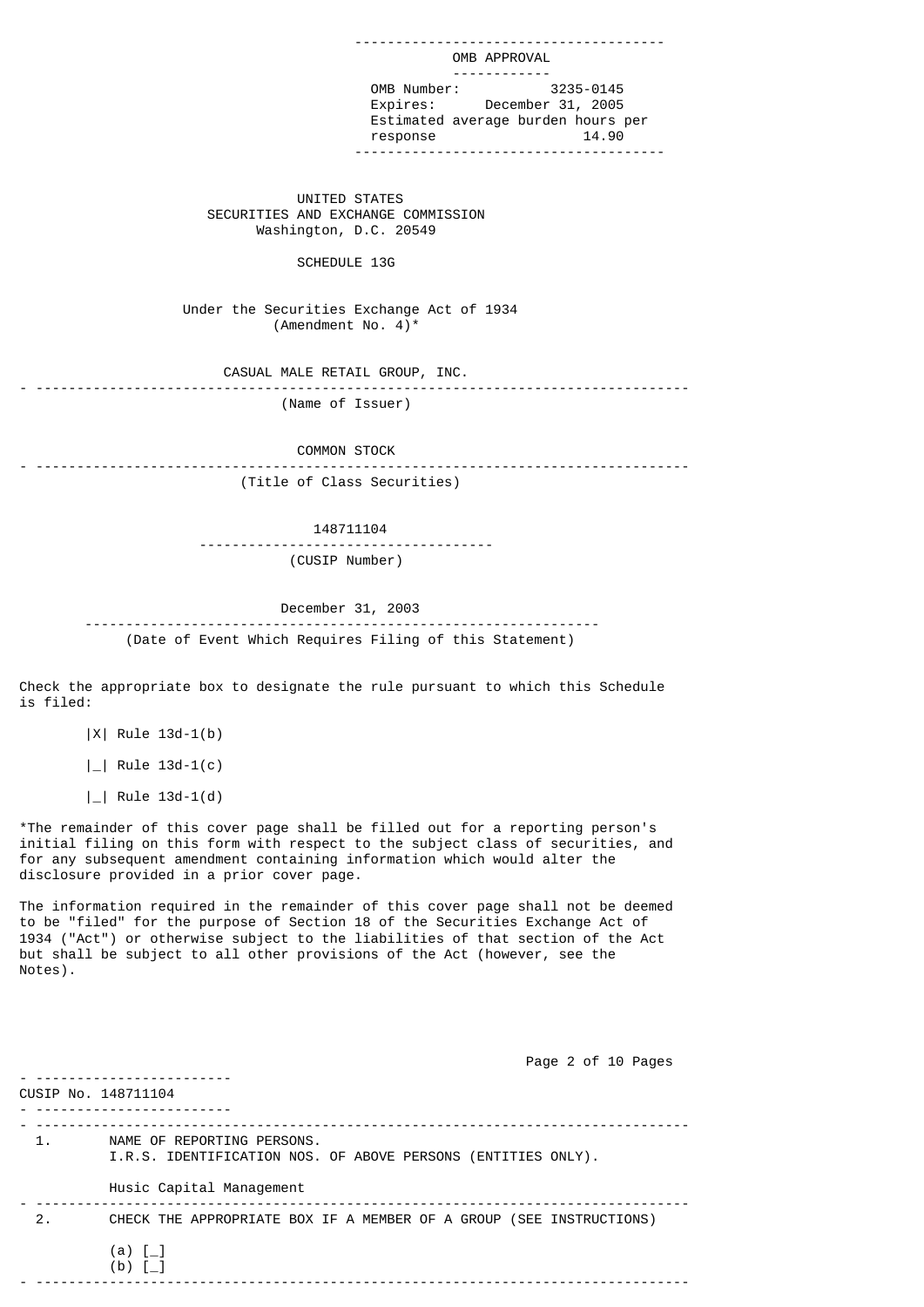OMB APPROVAL ------------ OMB Number: 3235-0145 Expires: December 31, 2005 Estimated average burden hours per response 14.90 --------------------------------------

--------------------------------------

 UNITED STATES SECURITIES AND EXCHANGE COMMISSION Washington, D.C. 20549

### SCHEDULE 13G

 Under the Securities Exchange Act of 1934 (Amendment No. 4) $*$ 

 CASUAL MALE RETAIL GROUP, INC. - --------------------------------------------------------------------------------

(Name of Issuer)

COMMON STOCK

- -------------------------------------------------------------------------------- (Title of Class Securities)

148711104

 ------------------------------------ (CUSIP Number)

 December 31, 2003 --------------------------------------------------------------- (Date of Event Which Requires Filing of this Statement)

Check the appropriate box to designate the rule pursuant to which this Schedule is filed:

|X| Rule 13d-1(b)

|\_| Rule 13d-1(c)

|\_| Rule 13d-1(d)

\*The remainder of this cover page shall be filled out for a reporting person's initial filing on this form with respect to the subject class of securities, and for any subsequent amendment containing information which would alter the disclosure provided in a prior cover page.

The information required in the remainder of this cover page shall not be deemed to be "filed" for the purpose of Section 18 of the Securities Exchange Act of 1934 ("Act") or otherwise subject to the liabilities of that section of the Act but shall be subject to all other provisions of the Act (however, see the Notes).

 Page 2 of 10 Pages - ------------------------ CUSIP No. 148711104 - ------------------------ - -------------------------------------------------------------------------------- 1. NAME OF REPORTING PERSONS. I.R.S. IDENTIFICATION NOS. OF ABOVE PERSONS (ENTITIES ONLY). Husic Capital Management - -------------------------------------------------------------------------------- 2. CHECK THE APPROPRIATE BOX IF A MEMBER OF A GROUP (SEE INSTRUCTIONS)  $(a)$   $\lceil$   $\rceil$  (b) [\_] - --------------------------------------------------------------------------------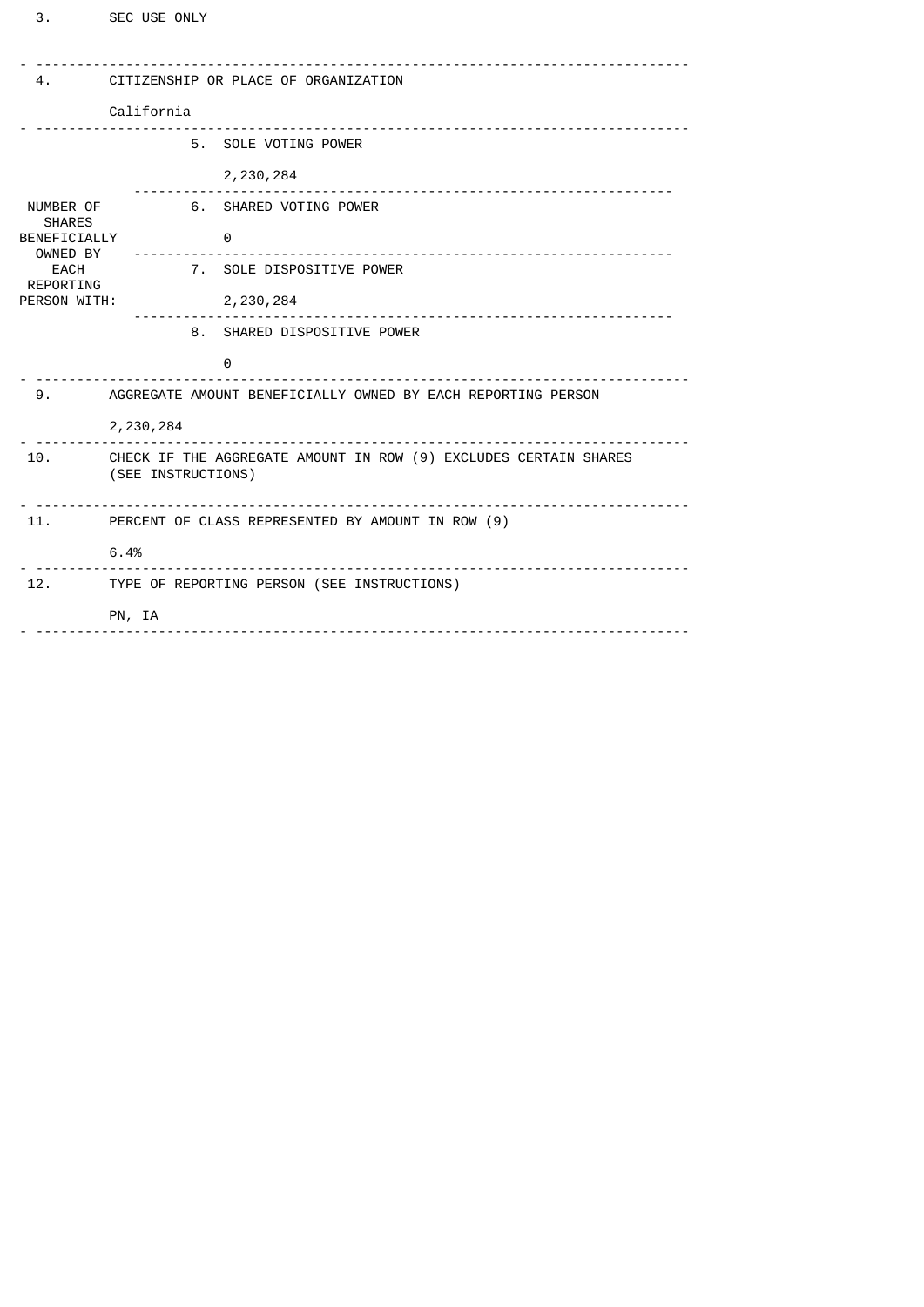| 4.                                                                                                 | CITIZENSHIP OR PLACE OF ORGANIZATION                                                   |
|----------------------------------------------------------------------------------------------------|----------------------------------------------------------------------------------------|
|                                                                                                    | California                                                                             |
|                                                                                                    | 5. SOLE VOTING POWER                                                                   |
| NUMBER OF<br><b>SHARES</b><br>BENEFICIALLY<br>OWNED BY<br><b>EACH</b><br>REPORTING<br>PERSON WITH: | 2,230,284                                                                              |
|                                                                                                    | 6. SHARED VOTING POWER                                                                 |
|                                                                                                    | 0                                                                                      |
|                                                                                                    | 7. SOLE DISPOSITIVE POWER                                                              |
|                                                                                                    | 2,230,284                                                                              |
|                                                                                                    | 8. SHARED DISPOSITIVE POWER                                                            |
|                                                                                                    | 0                                                                                      |
| 9.                                                                                                 | AGGREGATE AMOUNT BENEFICIALLY OWNED BY EACH REPORTING PERSON                           |
|                                                                                                    | 2,230,284                                                                              |
| 10.                                                                                                | CHECK IF THE AGGREGATE AMOUNT IN ROW (9) EXCLUDES CERTAIN SHARES<br>(SEE INSTRUCTIONS) |
|                                                                                                    | 11. PERCENT OF CLASS REPRESENTED BY AMOUNT IN ROW (9)                                  |
| .                                                                                                  | 6.4%                                                                                   |
|                                                                                                    | 12. TYPE OF REPORTING PERSON (SEE INSTRUCTIONS)                                        |
|                                                                                                    | PN, IA                                                                                 |
|                                                                                                    |                                                                                        |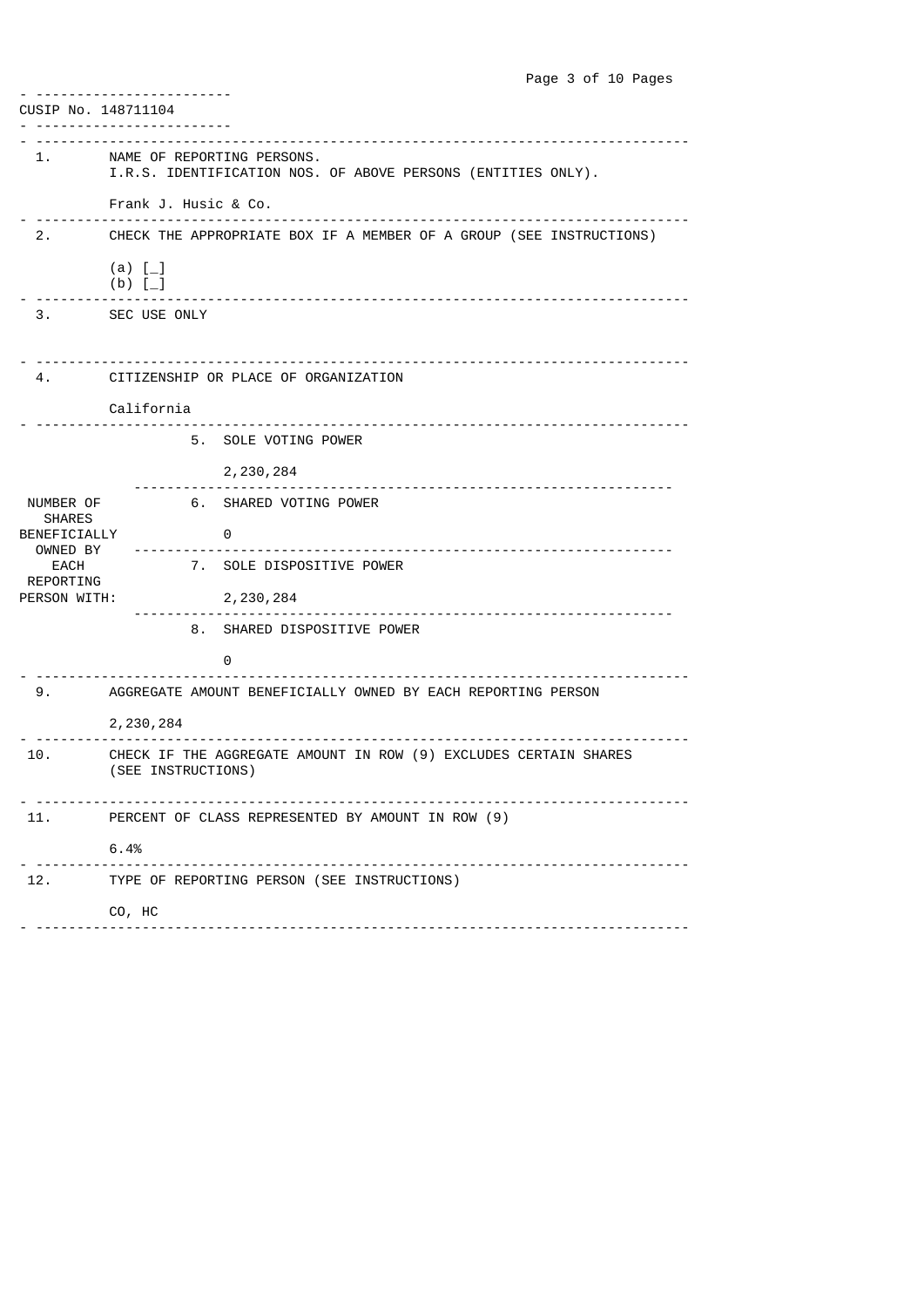|                                                                                             | Page 3 of 10 Pages                                                                         |
|---------------------------------------------------------------------------------------------|--------------------------------------------------------------------------------------------|
| CUSIP No. 148711104                                                                         |                                                                                            |
|                                                                                             | <u>.</u><br>---------                                                                      |
|                                                                                             | NAME OF REPORTING PERSONS.<br>I.R.S. IDENTIFICATION NOS. OF ABOVE PERSONS (ENTITIES ONLY). |
|                                                                                             | Frank J. Husic & Co.                                                                       |
|                                                                                             | CHECK THE APPROPRIATE BOX IF A MEMBER OF A GROUP (SEE INSTRUCTIONS)                        |
|                                                                                             | (a) $[-]$<br>$(b)$ $[-]$                                                                   |
|                                                                                             | 3. SEC USE ONLY                                                                            |
|                                                                                             | CITIZENSHIP OR PLACE OF ORGANIZATION                                                       |
|                                                                                             | California                                                                                 |
|                                                                                             | 5. SOLE VOTING POWER                                                                       |
|                                                                                             | 2, 230, 284                                                                                |
| NUMBER OF<br><b>SHARES</b><br>BENEFICIALLY<br>OWNED BY<br>EACH<br>REPORTING<br>PERSON WITH: | 6. SHARED VOTING POWER                                                                     |
|                                                                                             | - 0<br><u></u>                                                                             |
|                                                                                             | 7. SOLE DISPOSITIVE POWER                                                                  |
|                                                                                             | 2, 230, 284<br>------------------------------------                                        |
|                                                                                             | 8. SHARED DISPOSITIVE POWER                                                                |
|                                                                                             | 0                                                                                          |
| 9.                                                                                          | AGGREGATE AMOUNT BENEFICIALLY OWNED BY EACH REPORTING PERSON                               |
|                                                                                             | 2, 230, 284                                                                                |
| 10.                                                                                         | CHECK IF THE AGGREGATE AMOUNT IN ROW (9) EXCLUDES CERTAIN SHARES<br>(SEE INSTRUCTIONS)     |
| 11.                                                                                         | PERCENT OF CLASS REPRESENTED BY AMOUNT IN ROW (9)                                          |
|                                                                                             | 6.4%                                                                                       |
| 12.                                                                                         | TYPE OF REPORTING PERSON (SEE INSTRUCTIONS)                                                |
|                                                                                             | CO, HC                                                                                     |
|                                                                                             |                                                                                            |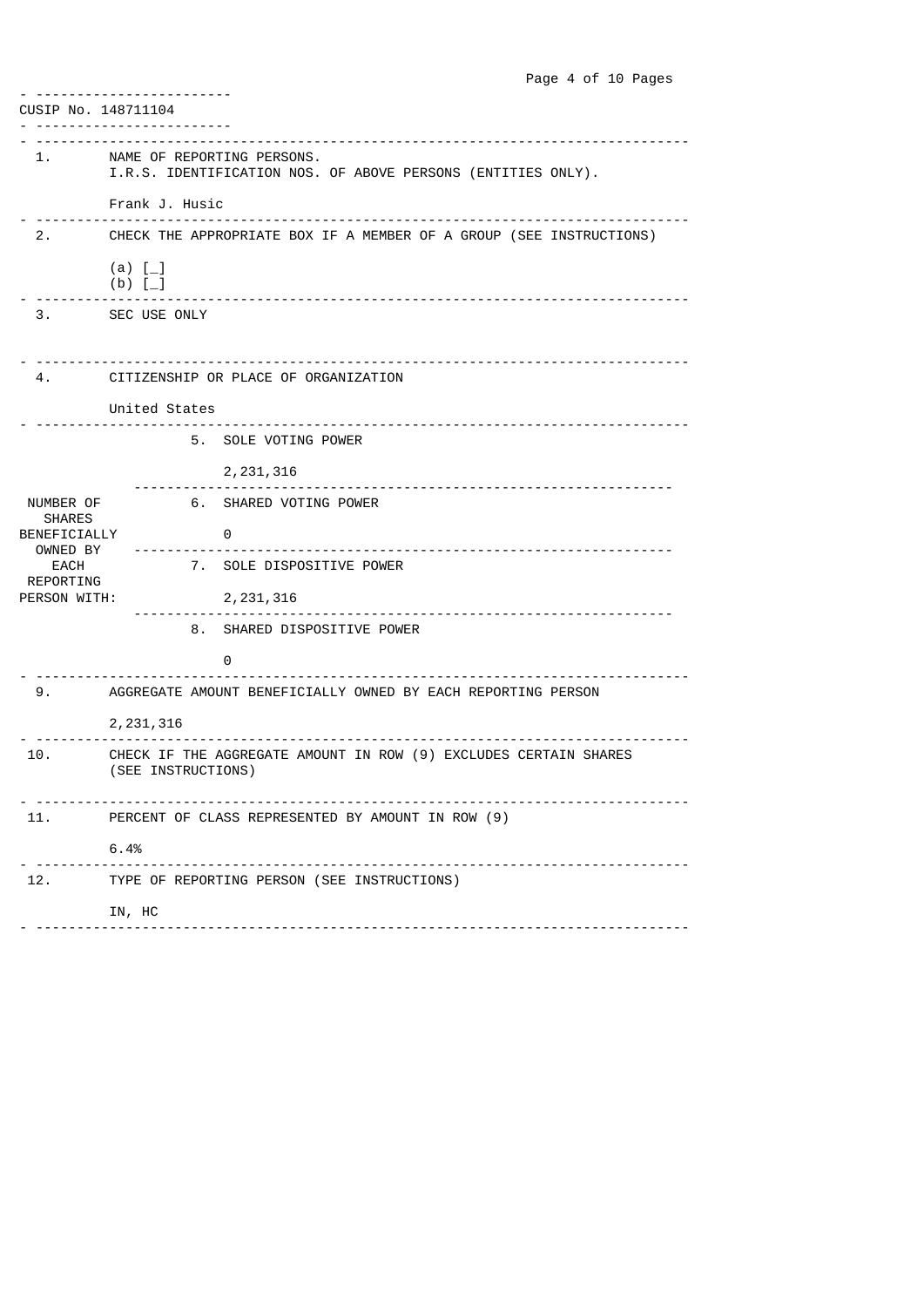|                                                                                             | Page 4 of 10 Pages                                                                         |
|---------------------------------------------------------------------------------------------|--------------------------------------------------------------------------------------------|
| CUSIP No. 148711104                                                                         |                                                                                            |
|                                                                                             | <u> - - - - - - - - - - - - -</u><br>---------                                             |
|                                                                                             | NAME OF REPORTING PERSONS.<br>I.R.S. IDENTIFICATION NOS. OF ABOVE PERSONS (ENTITIES ONLY). |
|                                                                                             | Frank J. Husic<br>_____________________________                                            |
|                                                                                             | 2. CHECK THE APPROPRIATE BOX IF A MEMBER OF A GROUP (SEE INSTRUCTIONS)                     |
|                                                                                             | (a) $[-]$<br>$(b)$ $[-]$                                                                   |
|                                                                                             | 3. SEC USE ONLY                                                                            |
|                                                                                             |                                                                                            |
|                                                                                             | CITIZENSHIP OR PLACE OF ORGANIZATION                                                       |
|                                                                                             | United States<br><u></u>                                                                   |
|                                                                                             | 5. SOLE VOTING POWER                                                                       |
|                                                                                             | 2, 231, 316                                                                                |
| NUMBER OF<br><b>SHARES</b><br>BENEFICIALLY<br>OWNED BY<br>EACH<br>REPORTING<br>PERSON WITH: | 6. SHARED VOTING POWER                                                                     |
|                                                                                             | - 0                                                                                        |
|                                                                                             | 7. SOLE DISPOSITIVE POWER                                                                  |
|                                                                                             | 2, 231, 316                                                                                |
|                                                                                             | 8. SHARED DISPOSITIVE POWER                                                                |
|                                                                                             | 0                                                                                          |
| 9.                                                                                          | AGGREGATE AMOUNT BENEFICIALLY OWNED BY EACH REPORTING PERSON                               |
|                                                                                             | 2, 231, 316                                                                                |
| 10.                                                                                         | CHECK IF THE AGGREGATE AMOUNT IN ROW (9) EXCLUDES CERTAIN SHARES<br>(SEE INSTRUCTIONS)     |
| 11.                                                                                         | PERCENT OF CLASS REPRESENTED BY AMOUNT IN ROW (9)                                          |
|                                                                                             | 6.4%                                                                                       |
| 12.                                                                                         | TYPE OF REPORTING PERSON (SEE INSTRUCTIONS)                                                |
|                                                                                             | IN, HC                                                                                     |
|                                                                                             |                                                                                            |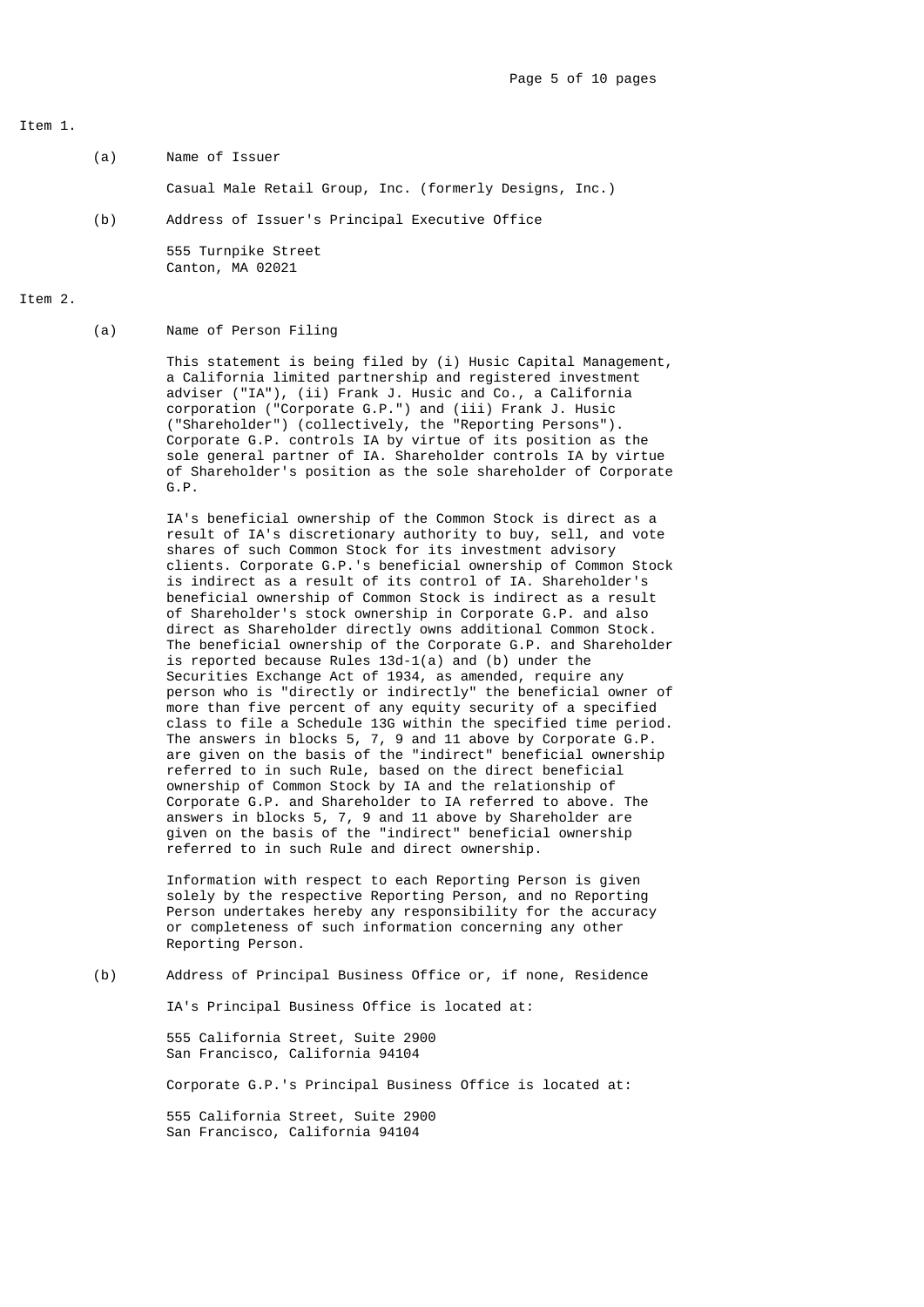## Item 1.

(a) Name of Issuer

Casual Male Retail Group, Inc. (formerly Designs, Inc.)

(b) Address of Issuer's Principal Executive Office

 555 Turnpike Street Canton, MA 02021

## Item 2.

(a) Name of Person Filing

 This statement is being filed by (i) Husic Capital Management, a California limited partnership and registered investment adviser ("IA"), (ii) Frank J. Husic and Co., a California corporation ("Corporate G.P.") and (iii) Frank J. Husic ("Shareholder") (collectively, the "Reporting Persons"). Corporate G.P. controls IA by virtue of its position as the sole general partner of IA. Shareholder controls IA by virtue of Shareholder's position as the sole shareholder of Corporate G.P.

> IA's beneficial ownership of the Common Stock is direct as a result of IA's discretionary authority to buy, sell, and vote shares of such Common Stock for its investment advisory clients. Corporate G.P.'s beneficial ownership of Common Stock is indirect as a result of its control of IA. Shareholder's beneficial ownership of Common Stock is indirect as a result of Shareholder's stock ownership in Corporate G.P. and also direct as Shareholder directly owns additional Common Stock. The beneficial ownership of the Corporate G.P. and Shareholder is reported because Rules  $13d-1(a)$  and (b) under the Securities Exchange Act of 1934, as amended, require any person who is "directly or indirectly" the beneficial owner of more than five percent of any equity security of a specified class to file a Schedule 13G within the specified time period. The answers in blocks 5, 7, 9 and 11 above by Corporate G.P. are given on the basis of the "indirect" beneficial ownership referred to in such Rule, based on the direct beneficial ownership of Common Stock by IA and the relationship of Corporate G.P. and Shareholder to IA referred to above. The answers in blocks 5, 7, 9 and 11 above by Shareholder are given on the basis of the "indirect" beneficial ownership referred to in such Rule and direct ownership.

 Information with respect to each Reporting Person is given solely by the respective Reporting Person, and no Reporting Person undertakes hereby any responsibility for the accuracy or completeness of such information concerning any other Reporting Person.

(b) Address of Principal Business Office or, if none, Residence

IA's Principal Business Office is located at:

 555 California Street, Suite 2900 San Francisco, California 94104

Corporate G.P.'s Principal Business Office is located at:

 555 California Street, Suite 2900 San Francisco, California 94104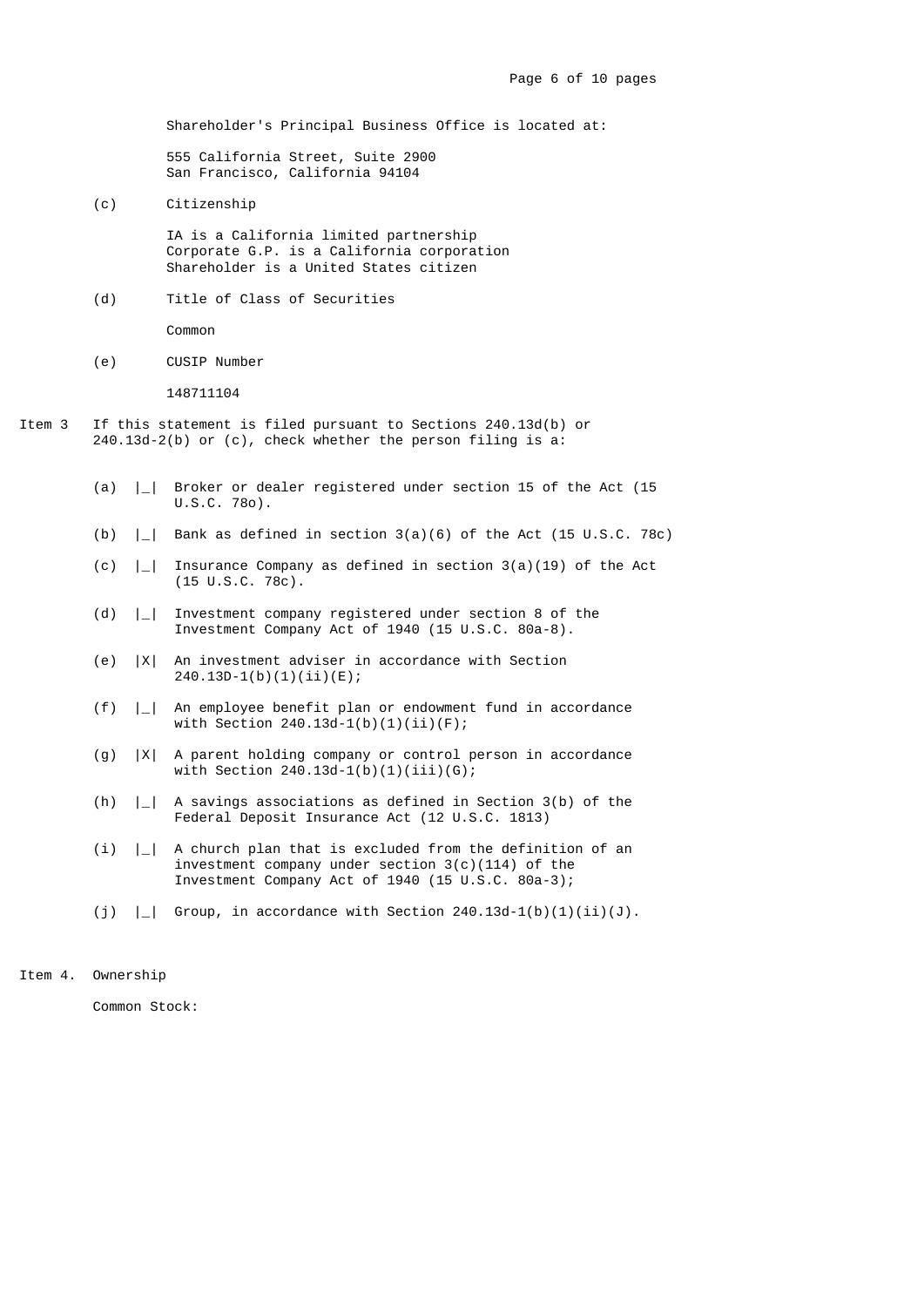Shareholder's Principal Business Office is located at:

 555 California Street, Suite 2900 San Francisco, California 94104

(c) Citizenship

 IA is a California limited partnership Corporate G.P. is a California corporation Shareholder is a United States citizen

(d) Title of Class of Securities

Common

(e) CUSIP Number

148711104

- Item 3 If this statement is filed pursuant to Sections 240.13d(b) or 240.13d-2(b) or (c), check whether the person filing is a:
	- (a) |\_| Broker or dealer registered under section 15 of the Act (15 U.S.C. 78o).
	- (b) |\_| Bank as defined in section 3(a)(6) of the Act (15 U.S.C. 78c)
	- (c) |\_| Insurance Company as defined in section 3(a)(19) of the Act (15 U.S.C. 78c).
	- (d) |\_| Investment company registered under section 8 of the Investment Company Act of 1940 (15 U.S.C. 80a-8).
	- (e) |X| An investment adviser in accordance with Section 240.13D-1(b)(1)(ii)(E);
	- (f) |\_| An employee benefit plan or endowment fund in accordance with Section  $240.13d-1(b)(1)(ii)(F)$ ;
	- (g) |X| A parent holding company or control person in accordance with Section  $240.13d-1(b)(1)(iii)(G);$
	- (h) |\_| A savings associations as defined in Section 3(b) of the Federal Deposit Insurance Act (12 U.S.C. 1813)
	- (i)  $|$  | A church plan that is excluded from the definition of an investment company under section 3(c)(114) of the Investment Company Act of 1940 (15 U.S.C. 80a-3);
	- (j)  $|-|$  Group, in accordance with Section 240.13d-1(b)(1)(ii)(J).

Item 4. Ownership

Common Stock: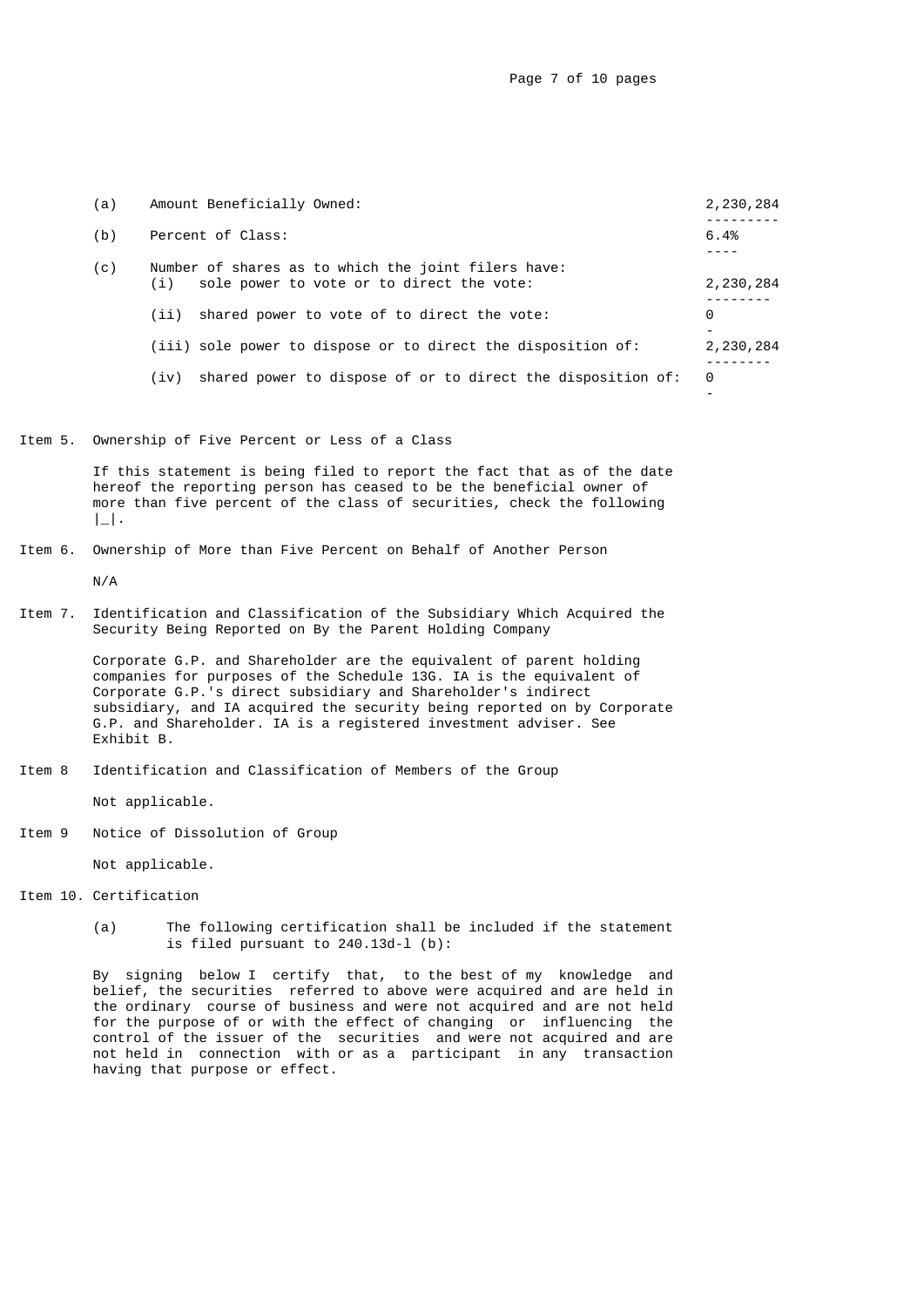| (a) | Amount Beneficially Owned:                                                                              | 2,230,284 |
|-----|---------------------------------------------------------------------------------------------------------|-----------|
| (b) | Percent of Class:                                                                                       | 6.4%      |
| (C) | Number of shares as to which the joint filers have:<br>sole power to vote or to direct the vote:<br>(i) | 2,230,284 |
|     | shared power to vote of to direct the vote:<br>(ii)                                                     | 0         |
|     | (iii) sole power to dispose or to direct the disposition of:                                            | 2,230,284 |
|     | shared power to dispose of or to direct the disposition of:<br>(iv)                                     | 0         |

Item 5. Ownership of Five Percent or Less of a Class

 If this statement is being filed to report the fact that as of the date hereof the reporting person has ceased to be the beneficial owner of more than five percent of the class of securities, check the following  $\|$ .

# Item 6. Ownership of More than Five Percent on Behalf of Another Person

N/A

Item 7. Identification and Classification of the Subsidiary Which Acquired the Security Being Reported on By the Parent Holding Company

> Corporate G.P. and Shareholder are the equivalent of parent holding companies for purposes of the Schedule 13G. IA is the equivalent of Corporate G.P.'s direct subsidiary and Shareholder's indirect subsidiary, and IA acquired the security being reported on by Corporate G.P. and Shareholder. IA is a registered investment adviser. See Exhibit B.

Item 8 Identification and Classification of Members of the Group

Not applicable.

Item 9 Notice of Dissolution of Group

Not applicable.

- Item 10. Certification
	- (a) The following certification shall be included if the statement is filed pursuant to 240.13d-l (b):

 By signing below I certify that, to the best of my knowledge and belief, the securities referred to above were acquired and are held in the ordinary course of business and were not acquired and are not held for the purpose of or with the effect of changing or influencing the control of the issuer of the securities and were not acquired and are not held in connection with or as a participant in any transaction having that purpose or effect.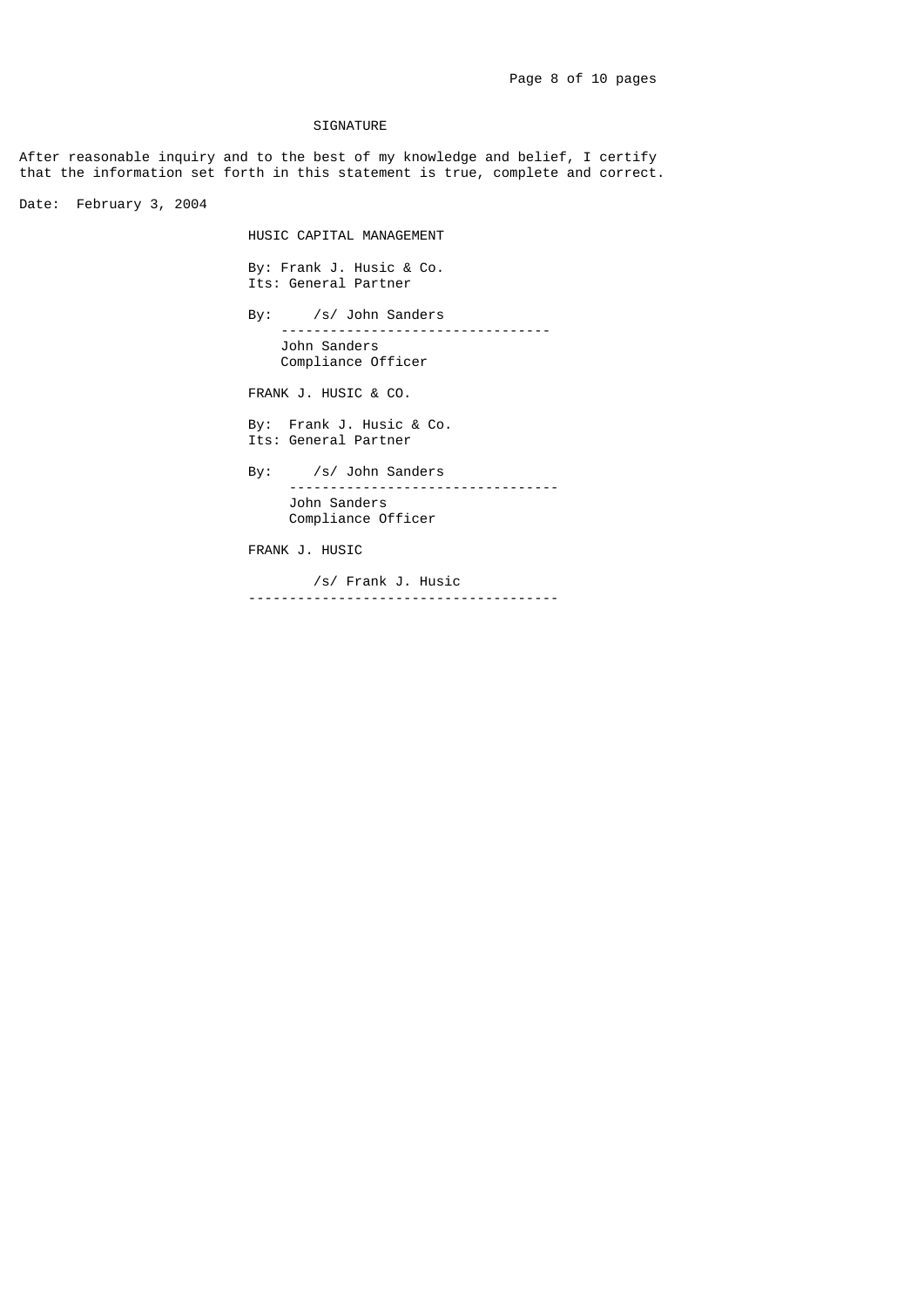### SIGNATURE

After reasonable inquiry and to the best of my knowledge and belief, I certify that the information set forth in this statement is true, complete and correct.

Date: February 3, 2004

HUSIC CAPITAL MANAGEMENT

 By: Frank J. Husic & Co. Its: General Partner

 By: /s/ John Sanders --------------------------------- John Sanders Compliance Officer

FRANK J. HUSIC & CO.

 By: Frank J. Husic & Co. Its: General Partner

> By: /s/ John Sanders --------------------------------- John Sanders Compliance Officer

FRANK J. HUSIC

/s/ Frank J. Husic<br>----------------------------------------------------------------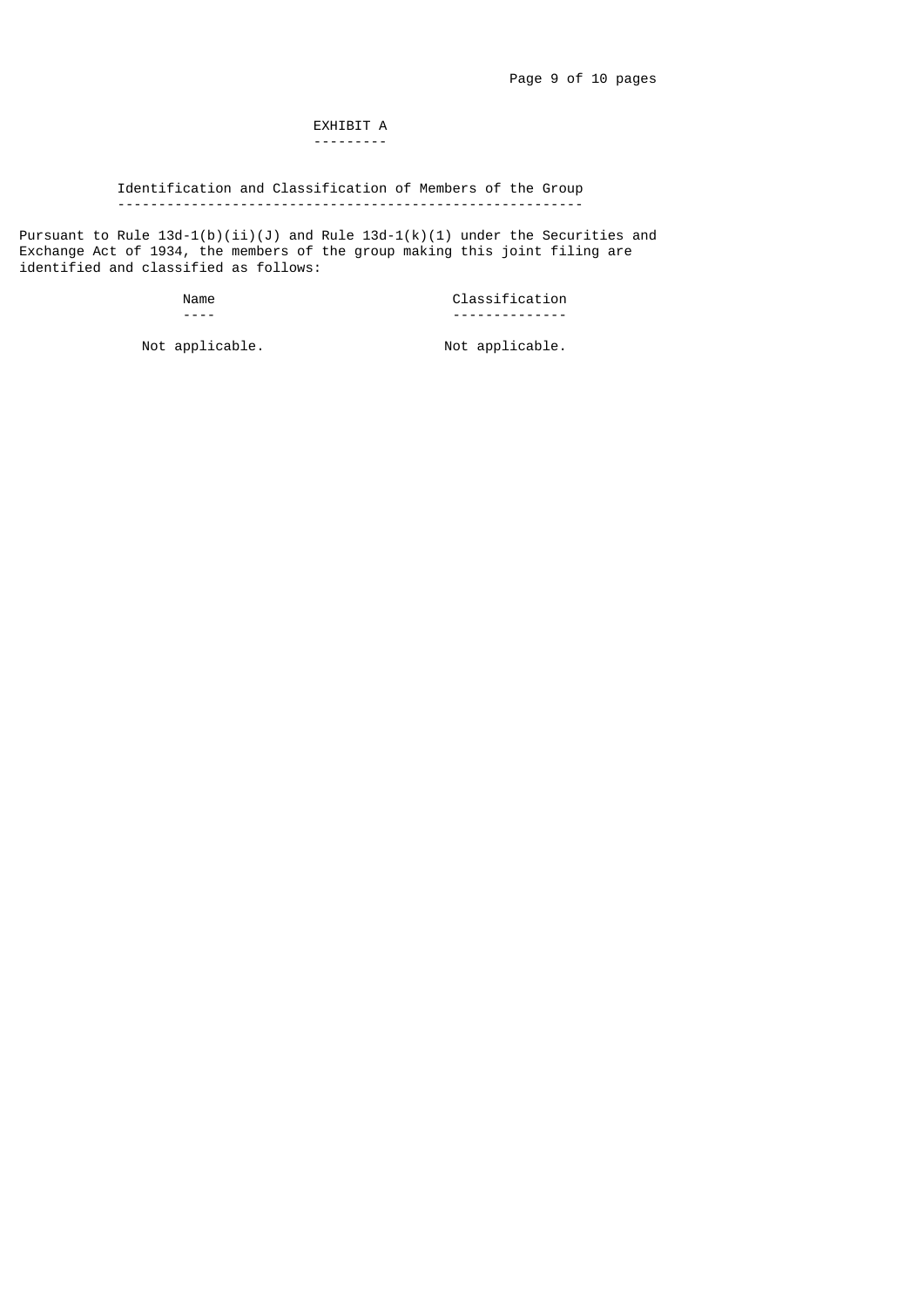#### EXHIBIT A ---------

## Identification and Classification of Members of the Group ---------------------------------------------------------

Pursuant to Rule 13d-1(b)(ii)(J) and Rule 13d-1(k)(1) under the Securities and Exchange Act of 1934, the members of the group making this joint filing are identified and classified as follows:

Name Classification<br>
The Classification<br>
The Classification ---- --------------

Not applicable. Not applicable.